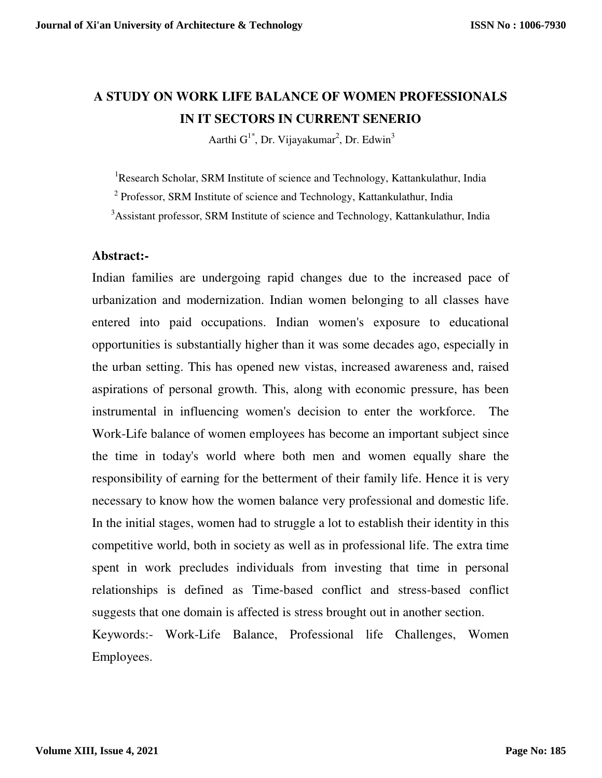# **A STUDY ON WORK LIFE BALANCE OF WOMEN PROFESSIONALS IN IT SECTORS IN CURRENT SENERIO**

Aarthi G<sup>1\*</sup>, Dr. Vijayakumar<sup>2</sup>, Dr. Edwin<sup>3</sup>

<sup>1</sup>Research Scholar, SRM Institute of science and Technology, Kattankulathur, India

<sup>2</sup> Professor, SRM Institute of science and Technology, Kattankulathur, India

<sup>3</sup>Assistant professor, SRM Institute of science and Technology, Kattankulathur, India

## **Abstract:-**

Indian families are undergoing rapid changes due to the increased pace of urbanization and modernization. Indian women belonging to all classes have entered into paid occupations. Indian women's exposure to educational opportunities is substantially higher than it was some decades ago, especially in the urban setting. This has opened new vistas, increased awareness and, raised aspirations of personal growth. This, along with economic pressure, has been instrumental in influencing women's decision to enter the workforce. The Work-Life balance of women employees has become an important subject since the time in today's world where both men and women equally share the responsibility of earning for the betterment of their family life. Hence it is very necessary to know how the women balance very professional and domestic life. In the initial stages, women had to struggle a lot to establish their identity in this competitive world, both in society as well as in professional life. The extra time spent in work precludes individuals from investing that time in personal relationships is defined as Time-based conflict and stress-based conflict suggests that one domain is affected is stress brought out in another section. Keywords:- Work-Life Balance, Professional life Challenges, Women

Employees.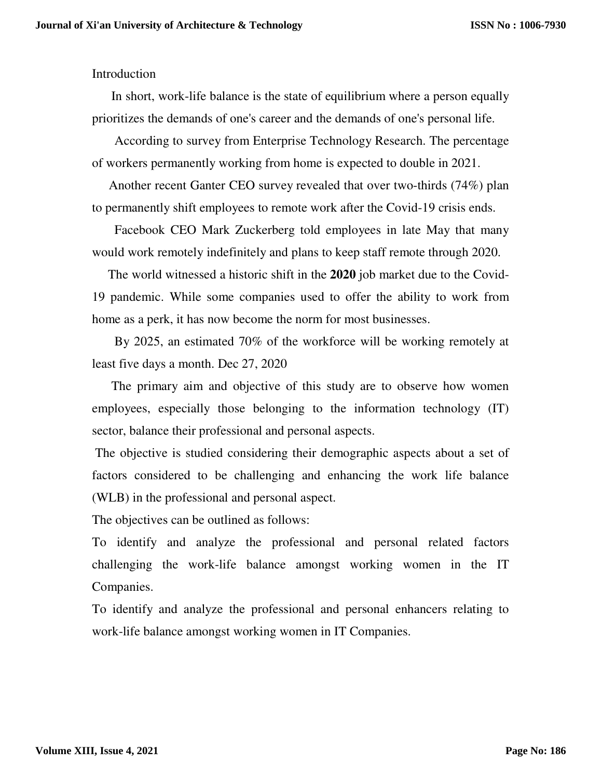## Introduction

 In short, work-life balance is the state of equilibrium where a person equally prioritizes the demands of one's career and the demands of one's personal life.

 According to survey from Enterprise Technology Research. The percentage of workers permanently working from home is expected to double in 2021.

 Another recent Ganter CEO survey revealed that over two-thirds (74%) plan to permanently shift employees to remote work after the Covid-19 crisis ends.

 Facebook CEO Mark Zuckerberg told employees in late May that many would work remotely indefinitely and plans to keep staff remote through 2020.

 The world witnessed a historic shift in the **2020** job market due to the Covid-19 pandemic. While some companies used to offer the ability to work from home as a perk, it has now become the norm for most businesses.

 By 2025, an estimated 70% of the workforce will be working remotely at least five days a month. Dec 27, 2020

 The primary aim and objective of this study are to observe how women employees, especially those belonging to the information technology (IT) sector, balance their professional and personal aspects.

 The objective is studied considering their demographic aspects about a set of factors considered to be challenging and enhancing the work life balance (WLB) in the professional and personal aspect.

The objectives can be outlined as follows:

To identify and analyze the professional and personal related factors challenging the work-life balance amongst working women in the IT Companies.

To identify and analyze the professional and personal enhancers relating to work-life balance amongst working women in IT Companies.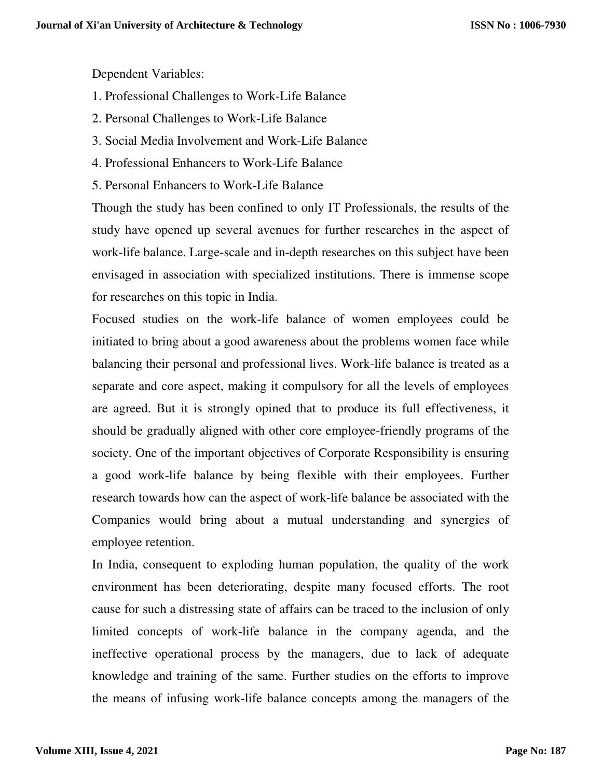Dependent Variables:

- 1. Professional Challenges to Work-Life Balance
- 2. Personal Challenges to Work-Life Balance
- 3. Social Media Involvement and Work-Life Balance
- 4. Professional Enhancers to Work-Life Balance
- 5. Personal Enhancers to Work-Life Balance

Though the study has been confined to only IT Professionals, the results of the study have opened up several avenues for further researches in the aspect of work-life balance. Large-scale and in-depth researches on this subject have been envisaged in association with specialized institutions. There is immense scope for researches on this topic in India.

Focused studies on the work-life balance of women employees could be initiated to bring about a good awareness about the problems women face while balancing their personal and professional lives. Work-life balance is treated as a separate and core aspect, making it compulsory for all the levels of employees are agreed. But it is strongly opined that to produce its full effectiveness, it should be gradually aligned with other core employee-friendly programs of the society. One of the important objectives of Corporate Responsibility is ensuring a good work-life balance by being flexible with their employees. Further research towards how can the aspect of work-life balance be associated with the Companies would bring about a mutual understanding and synergies of employee retention.

In India, consequent to exploding human population, the quality of the work environment has been deteriorating, despite many focused efforts. The root cause for such a distressing state of affairs can be traced to the inclusion of only limited concepts of work-life balance in the company agenda, and the ineffective operational process by the managers, due to lack of adequate knowledge and training of the same. Further studies on the efforts to improve the means of infusing work-life balance concepts among the managers of the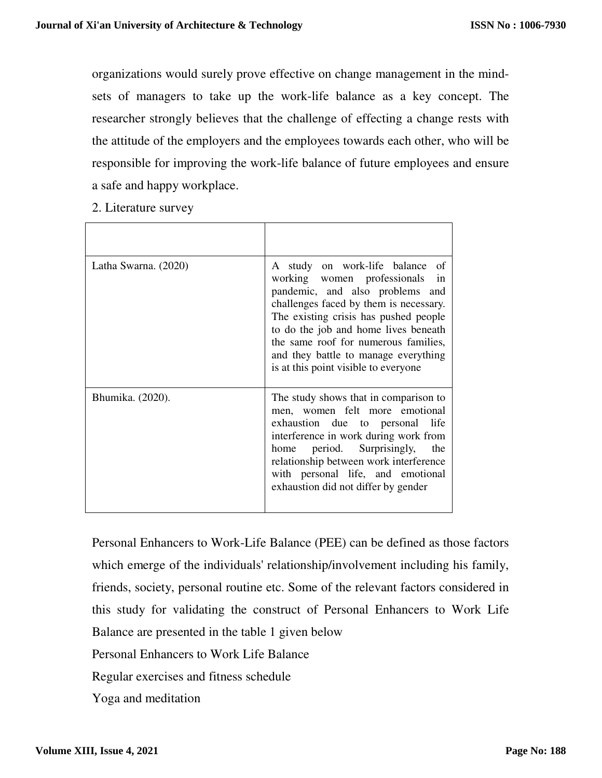organizations would surely prove effective on change management in the mindsets of managers to take up the work-life balance as a key concept. The researcher strongly believes that the challenge of effecting a change rests with the attitude of the employers and the employees towards each other, who will be responsible for improving the work-life balance of future employees and ensure a safe and happy workplace.

2. Literature survey

| Latha Swarna. (2020) | A study on work-life balance of<br>in<br>working women professionals<br>pandemic, and also problems and<br>challenges faced by them is necessary.<br>The existing crisis has pushed people<br>to do the job and home lives beneath<br>the same roof for numerous families,<br>and they battle to manage everything<br>is at this point visible to everyone |
|----------------------|------------------------------------------------------------------------------------------------------------------------------------------------------------------------------------------------------------------------------------------------------------------------------------------------------------------------------------------------------------|
| Bhumika. (2020).     | The study shows that in comparison to<br>men, women felt more emotional<br>exhaustion due to personal life<br>interference in work during work from<br>period. Surprisingly,<br>the<br>home<br>relationship between work interference<br>with personal life, and emotional<br>exhaustion did not differ by gender                                          |

Personal Enhancers to Work-Life Balance (PEE) can be defined as those factors which emerge of the individuals' relationship/involvement including his family, friends, society, personal routine etc. Some of the relevant factors considered in this study for validating the construct of Personal Enhancers to Work Life Balance are presented in the table 1 given below Personal Enhancers to Work Life Balance Regular exercises and fitness schedule Yoga and meditation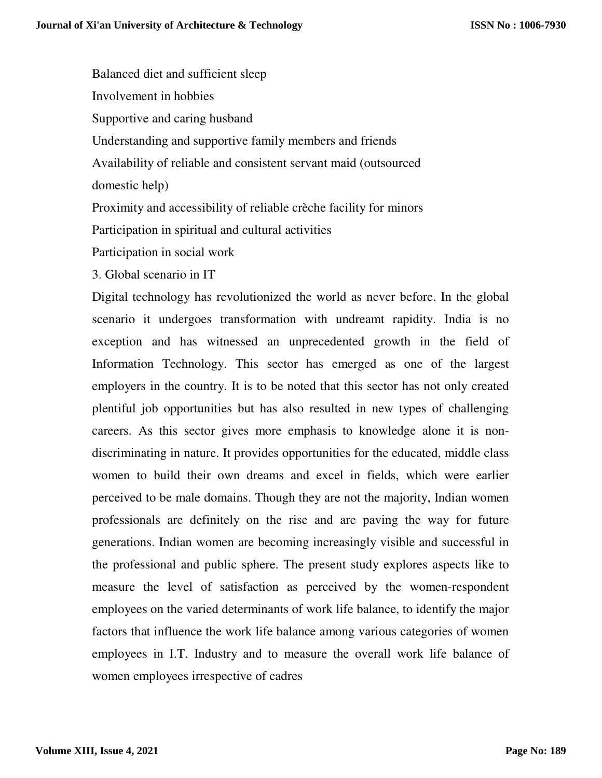Balanced diet and sufficient sleep Involvement in hobbies Supportive and caring husband Understanding and supportive family members and friends Availability of reliable and consistent servant maid (outsourced domestic help) Proximity and accessibility of reliable crèche facility for minors Participation in spiritual and cultural activities

Participation in social work

3. Global scenario in IT

Digital technology has revolutionized the world as never before. In the global scenario it undergoes transformation with undreamt rapidity. India is no exception and has witnessed an unprecedented growth in the field of Information Technology. This sector has emerged as one of the largest employers in the country. It is to be noted that this sector has not only created plentiful job opportunities but has also resulted in new types of challenging careers. As this sector gives more emphasis to knowledge alone it is nondiscriminating in nature. It provides opportunities for the educated, middle class women to build their own dreams and excel in fields, which were earlier perceived to be male domains. Though they are not the majority, Indian women professionals are definitely on the rise and are paving the way for future generations. Indian women are becoming increasingly visible and successful in the professional and public sphere. The present study explores aspects like to measure the level of satisfaction as perceived by the women-respondent employees on the varied determinants of work life balance, to identify the major factors that influence the work life balance among various categories of women employees in I.T. Industry and to measure the overall work life balance of women employees irrespective of cadres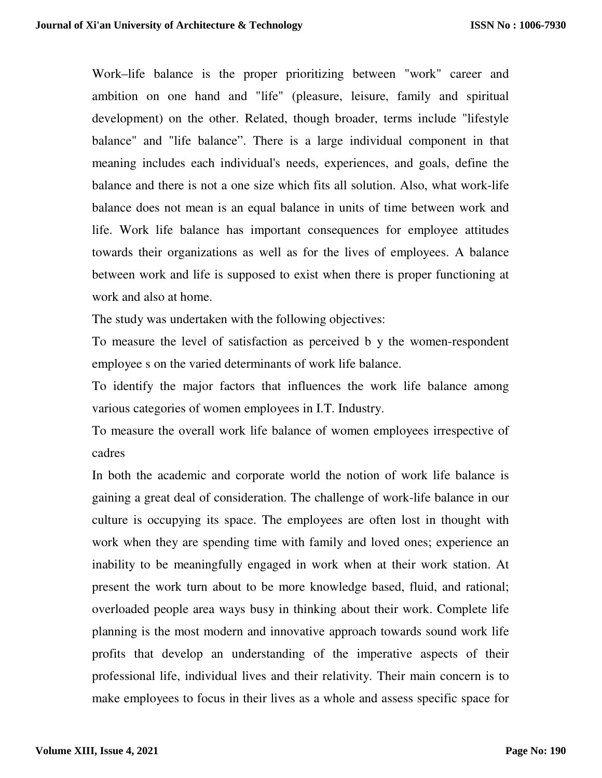Work–life balance is the proper prioritizing between "work" career and ambition on one hand and "life" (pleasure, leisure, family and spiritual development) on the other. Related, though broader, terms include "lifestyle balance" and "life balance". There is a large individual component in that meaning includes each individual's needs, experiences, and goals, define the balance and there is not a one size which fits all solution. Also, what work-life balance does not mean is an equal balance in units of time between work and life. Work life balance has important consequences for employee attitudes towards their organizations as well as for the lives of employees. A balance between work and life is supposed to exist when there is proper functioning at work and also at home.

The study was undertaken with the following objectives:

To measure the level of satisfaction as perceived b y the women-respondent employee s on the varied determinants of work life balance.

To identify the major factors that influences the work life balance among various categories of women employees in I.T. Industry.

To measure the overall work life balance of women employees irrespective of cadres

In both the academic and corporate world the notion of work life balance is gaining a great deal of consideration. The challenge of work-life balance in our culture is occupying its space. The employees are often lost in thought with work when they are spending time with family and loved ones; experience an inability to be meaningfully engaged in work when at their work station. At present the work turn about to be more knowledge based, fluid, and rational; overloaded people area ways busy in thinking about their work. Complete life planning is the most modern and innovative approach towards sound work life profits that develop an understanding of the imperative aspects of their professional life, individual lives and their relativity. Their main concern is to make employees to focus in their lives as a whole and assess specific space for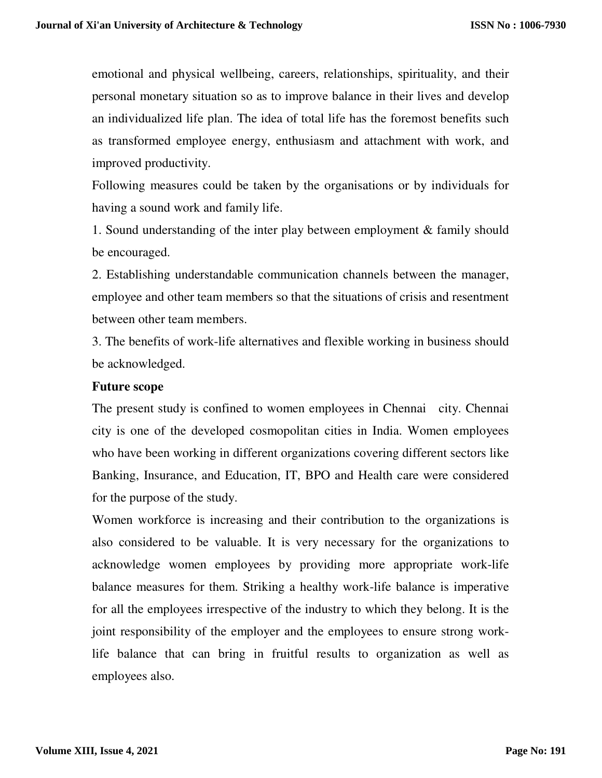emotional and physical wellbeing, careers, relationships, spirituality, and their personal monetary situation so as to improve balance in their lives and develop an individualized life plan. The idea of total life has the foremost benefits such as transformed employee energy, enthusiasm and attachment with work, and improved productivity.

Following measures could be taken by the organisations or by individuals for having a sound work and family life.

1. Sound understanding of the inter play between employment & family should be encouraged.

2. Establishing understandable communication channels between the manager, employee and other team members so that the situations of crisis and resentment between other team members.

3. The benefits of work-life alternatives and flexible working in business should be acknowledged.

#### **Future scope**

The present study is confined to women employees in Chennai city. Chennai city is one of the developed cosmopolitan cities in India. Women employees who have been working in different organizations covering different sectors like Banking, Insurance, and Education, IT, BPO and Health care were considered for the purpose of the study.

Women workforce is increasing and their contribution to the organizations is also considered to be valuable. It is very necessary for the organizations to acknowledge women employees by providing more appropriate work-life balance measures for them. Striking a healthy work-life balance is imperative for all the employees irrespective of the industry to which they belong. It is the joint responsibility of the employer and the employees to ensure strong worklife balance that can bring in fruitful results to organization as well as employees also.